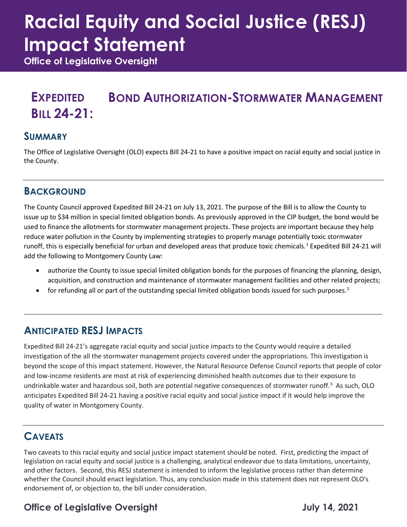# **Racial Equity and Social Justice (RESJ) Impact Statement**

**Office of Legislative Oversight**

#### **EXPEDITED BILL 24-21: BOND AUTHORIZATION-STORMWATER MANAGEMENT**

#### **SUMMARY**

The Office of Legislative Oversight (OLO) expects Bill 24-21 to have a positive impact on racial equity and social justice in the County.

#### **BACKGROUND**

The County Council approved Expedited Bill 24-21 on July 13, 2021. The purpose of the Bill is to allow the County to issue up to \$34 million in special limited obligation bonds. As previously approved in the CIP budget, the bond would be used to finance the allotments for stormwater management projects. These projects are important because they help reduce water pollution in the County by implementing strategies to properly manage potentially toxic stormwater runoff, this is especially beneficial for urban and developed areas that produce toxic chemicals.<sup>[1](#page-1-0)</sup> Expedited Bill 24-21 will add the following to Montgomery County Law:

- authorize the County to issue special limited obligation bonds for the purposes of financing the planning, design, acquisition, and construction and maintenance of stormwater management facilities and other related projects;
- $\bullet$  for refunding all or part of the outstanding special limited obligation bonds issued for such purposes.<sup>[2](#page-1-1)</sup>

#### **ANTICIPATED RESJ IMPACTS**

Expedited Bill 24-21's aggregate racial equity and social justice impacts to the County would require a detailed investigation of the all the stormwater management projects covered under the appropriations. This investigation is beyond the scope of this impact statement. However, the Natural Resource Defense Council reports that people of color and low-income residents are most at risk of experiencing diminished health outcomes due to their exposure to undrinkable water and hazardous soil, both are potential negative consequences of stormwater runoff.<sup>[3](#page-1-2)</sup> As such, OLO anticipates Expedited Bill 24-21 having a positive racial equity and social justice impact if it would help improve the quality of water in Montgomery County.

## **CAVEATS**

Two caveats to this racial equity and social justice impact statement should be noted. First, predicting the impact of legislation on racial equity and social justice is a challenging, analytical endeavor due to data limitations, uncertainty, and other factors. Second, this RESJ statement is intended to inform the legislative process rather than determine whether the Council should enact legislation. Thus, any conclusion made in this statement does not represent OLO's endorsement of, or objection to, the bill under consideration.

# **Office of Legislative Oversight Contract Contract Contract Contract Contract Contract Contract Contract Contract Contract Contract Contract Contract Contract Contract Contract Contract Contract Contract Contract Contract**